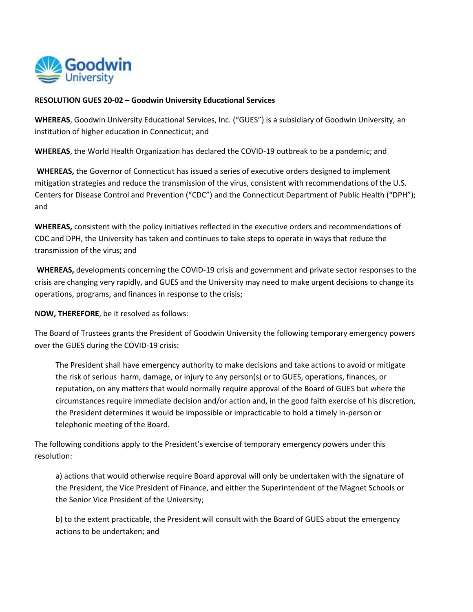

## **RESOLUTION GUES 20-02 – Goodwin University Educational Services**

**WHEREAS**, Goodwin University Educational Services, Inc. ("GUES") is a subsidiary of Goodwin University, an institution of higher education in Connecticut; and

**WHEREAS**, the World Health Organization has declared the COVID-19 outbreak to be a pandemic; and

**WHEREAS,** the Governor of Connecticut has issued a series of executive orders designed to implement mitigation strategies and reduce the transmission of the virus, consistent with recommendations of the U.S. Centers for Disease Control and Prevention ("CDC") and the Connecticut Department of Public Health ("DPH"); and

**WHEREAS,** consistent with the policy initiatives reflected in the executive orders and recommendations of CDC and DPH, the University has taken and continues to take steps to operate in ways that reduce the transmission of the virus; and

**WHEREAS,** developments concerning the COVID-19 crisis and government and private sector responses to the crisis are changing very rapidly, and GUES and the University may need to make urgent decisions to change its operations, programs, and finances in response to the crisis;

**NOW, THEREFORE**, be it resolved as follows:

The Board of Trustees grants the President of Goodwin University the following temporary emergency powers over the GUES during the COVID-19 crisis:

The President shall have emergency authority to make decisions and take actions to avoid or mitigate the risk of serious harm, damage, or injury to any person(s) or to GUES, operations, finances, or reputation, on any matters that would normally require approval of the Board of GUES but where the circumstances require immediate decision and/or action and, in the good faith exercise of his discretion, the President determines it would be impossible or impracticable to hold a timely in-person or telephonic meeting of the Board.

The following conditions apply to the President's exercise of temporary emergency powers under this resolution:

a) actions that would otherwise require Board approval will only be undertaken with the signature of the President, the Vice President of Finance, and either the Superintendent of the Magnet Schools or the Senior Vice President of the University;

b) to the extent practicable, the President will consult with the Board of GUES about the emergency actions to be undertaken; and